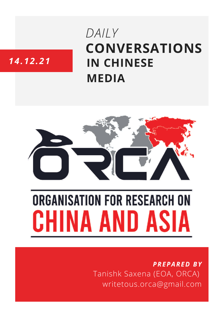# **CONVERSATIONS IN CHINESE MEDIA** *DAILY*

# *14.12.21*



# **ORGANISATION FOR RESEARCH ON** HINA AND ASIA

## *PREPARED BY* Tanishk Saxena (EOA, ORCA) writetous.orca@gmail.com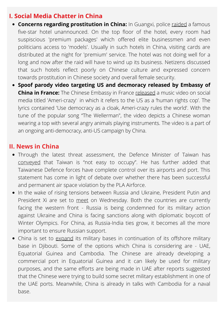#### **I. Social Media Chatter in China**

- **Concerns regarding prostitution in China:** In Guangxi, police [raided](https://www.sohu.com/a/507755237_120471551?scm=1007.68.36002-51002.0.0&spm=smpc.content-abroad.fd-d.4.1639661837285mv3CLxX&_f=index_pagerecom_4) a famous five-star hotel unannounced. On the top floor of the hotel, every room had suspiscious 'premium packages' which offered elite businessmen and even politicians access to 'models'. Usually in such hotels in China, visiting cards are distributed at the night for 'premium' service. The hotel was not doing well for a long and now after the raid will have to wind up its business. Netizens discussed that such hotels reflect poorly on Chinese culture and expressed concern towards prostitution in Chinese society and overall female security.
- **Spoof parody video targeting US and decmoracy released by Embassy of China in France:** The Chinese Embassy in France [released](https://nypost.com/2021/12/14/chinese-embassy-in-france-releases-anti-american-song/) a music video on social media titled 'Ameri-crazy' in which it refers to the US as a 'human rights cop'. The lyrics contained 'Use democracy as a cloak, Ameri-crazy rules the world'. With the tune of the popular song "The Wellerman", the video depicts a Chinese woman wearing a top with several angry animals playing instruments. The video is a part of an ongoing anti-democracy, anti-US campaign by China.

#### **II. News in China**

- Through the latest threat assessment, the Defence Minister of Taiwan has [conveyed](https://www.ndtv.com/world-news/china-taiwan-relations-china-taiwan-news-china-taiwan-not-easy-to-occupy-taiwan-says-chinese-invasion-would-be-very-hard-2648322) that Taiwan is "not easy to occupy". He has further added that Taiwanese Defence forces have complete control over its airports and port. This statement has come in light of debate over whether there has been successful and permanent air space violation by the PLA Airforce.
- In the wake of rising tensions between Russia and Ukraine, President Putin and President Xi are set to [meet](https://www.cnbc.com/2021/12/13/chinas-xi-is-set-to-meet-russias-putin-virtually-on-wednesday.html) on Wednesday. Both the countries are currently facing the western front - Russia is being condemned for its military action against Ukraine and China is facing sanctions along with diplomatic boycott of Winter Olympics. For China, as Russia-India ties grow, it becomes all the more important to ensure Russian support.
- China is set to [expand](https://economictimes.indiatimes.com/news/defence/china-is-struggling-to-establish-military-bases/articleshow/88268005.cms) its military bases in continuation of its offshore military base in Djibouti. Some of the options which China is considering are - UAE, Equatorial Guinea and Cambodia. The Chinese are already developing a commercial port in Equatorial Guinea and it can likely be used for military purposes, and the same efforts are being made in UAE after reports suggested that the Chinese were trying to build some secret military establishment in one of the UAE ports. Meanwhile, China is already in talks with Cambodia for a naval base.